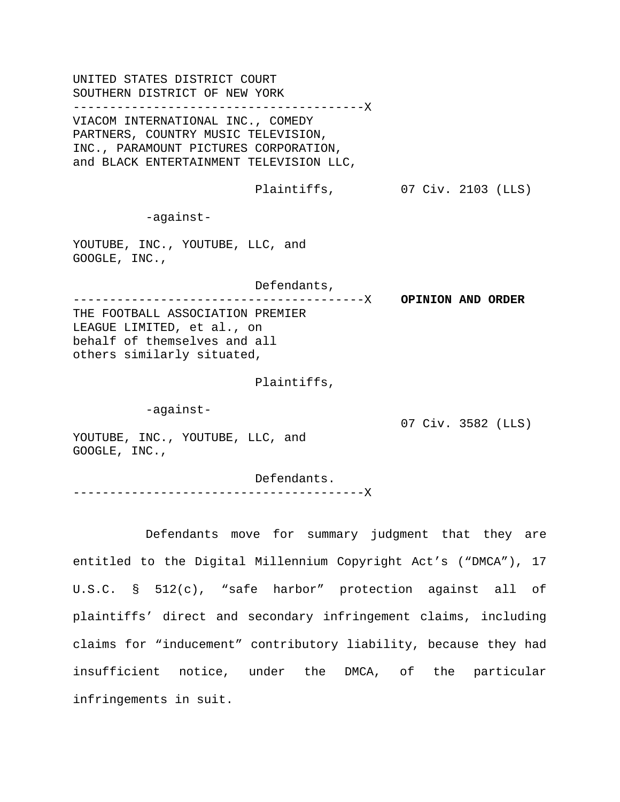UNITED STATES DISTRICT COURT SOUTHERN DISTRICT OF NEW YORK ----------------------------------------X VIACOM INTERNATIONAL INC., COMEDY PARTNERS, COUNTRY MUSIC TELEVISION, INC., PARAMOUNT PICTURES CORPORATION, and BLACK ENTERTAINMENT TELEVISION LLC, Plaintiffs, 07 Civ. 2103 (LLS) -against-YOUTUBE, INC., YOUTUBE, LLC, and GOOGLE, INC., Defendants, ----------------------------------------X **OPINION AND ORDER**

THE FOOTBALL ASSOCIATION PREMIER LEAGUE LIMITED, et al., on behalf of themselves and all others similarly situated,

#### Plaintiffs,

-against-

07 Civ. 3582 (LLS)

YOUTUBE, INC., YOUTUBE, LLC, and GOOGLE, INC.,

 Defendants. ----------------------------------------X

 Defendants move for summary judgment that they are entitled to the Digital Millennium Copyright Act's ("DMCA"), 17 U.S.C. § 512(c), "safe harbor" protection against all of plaintiffs' direct and secondary infringement claims, including claims for "inducement" contributory liability, because they had insufficient notice, under the DMCA, of the particular infringements in suit.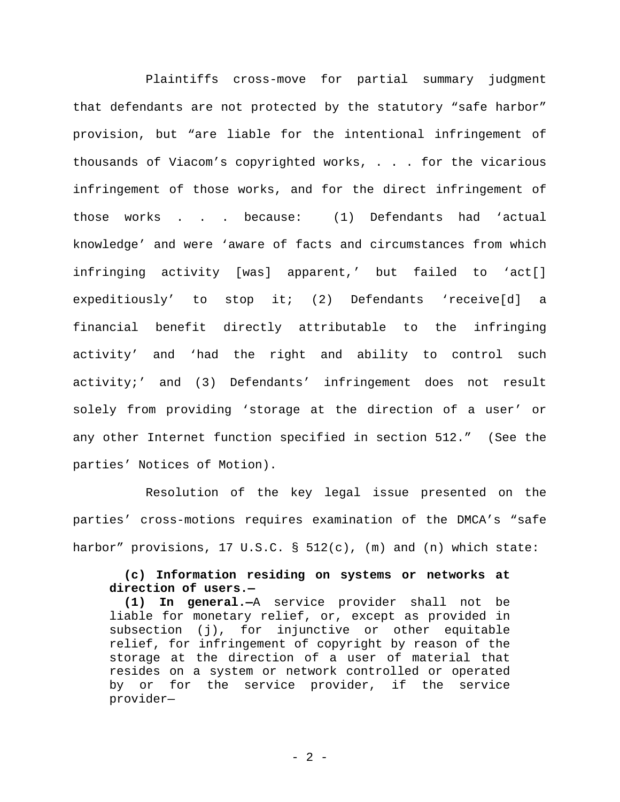Plaintiffs cross-move for partial summary judgment that defendants are not protected by the statutory "safe harbor" provision, but "are liable for the intentional infringement of thousands of Viacom's copyrighted works, . . . for the vicarious infringement of those works, and for the direct infringement of those works . . . because: (1) Defendants had 'actual knowledge' and were 'aware of facts and circumstances from which infringing activity [was] apparent,' but failed to 'act[] expeditiously' to stop it; (2) Defendants 'receive[d] a financial benefit directly attributable to the infringing activity' and 'had the right and ability to control such activity;' and (3) Defendants' infringement does not result solely from providing 'storage at the direction of a user' or any other Internet function specified in section 512." (See the parties' Notices of Motion).

 Resolution of the key legal issue presented on the parties' cross-motions requires examination of the DMCA's "safe harbor" provisions, 17 U.S.C. § 512(c), (m) and (n) which state:

# **(c) Information residing on systems or networks at direction of users.—**

 **(1) In general.—**A service provider shall not be liable for monetary relief, or, except as provided in subsection (j), for injunctive or other equitable relief, for infringement of copyright by reason of the storage at the direction of a user of material that resides on a system or network controlled or operated by or for the service provider, if the service provider—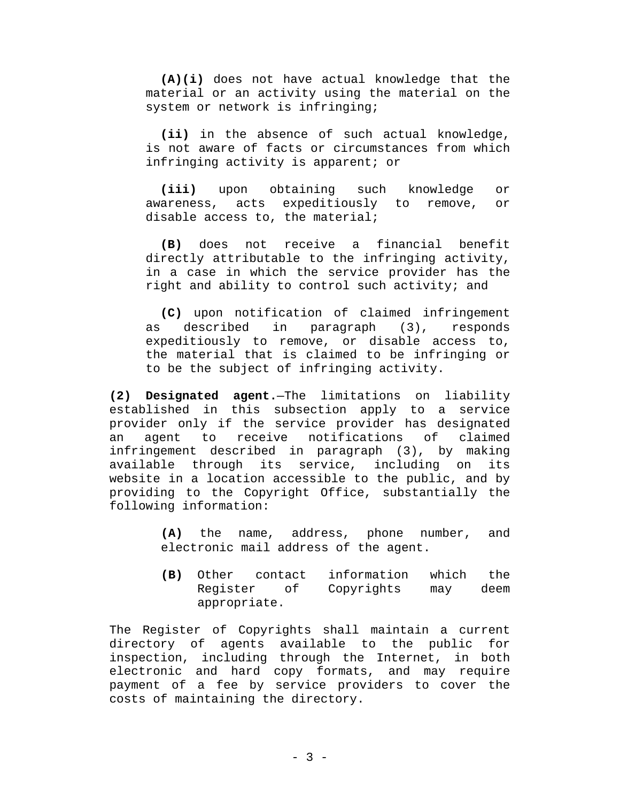**(A)(i)** does not have actual knowledge that the material or an activity using the material on the system or network is infringing;

 **(ii)** in the absence of such actual knowledge, is not aware of facts or circumstances from which infringing activity is apparent; or

 **(iii)** upon obtaining such knowledge or awareness, acts expeditiously to remove, or disable access to, the material;

 **(B)** does not receive a financial benefit directly attributable to the infringing activity, in a case in which the service provider has the right and ability to control such activity; and

 **(C)** upon notification of claimed infringement as described in paragraph (3), responds expeditiously to remove, or disable access to, the material that is claimed to be infringing or to be the subject of infringing activity.

**(2) Designated agent.**—The limitations on liability established in this subsection apply to a service provider only if the service provider has designated an agent to receive notifications of claimed infringement described in paragraph (3), by making available through its service, including on its website in a location accessible to the public, and by providing to the Copyright Office, substantially the following information:

> **(A)** the name, address, phone number, and electronic mail address of the agent.

> **(B)** Other contact information which the Register of Copyrights may deem appropriate.

The Register of Copyrights shall maintain a current directory of agents available to the public for inspection, including through the Internet, in both electronic and hard copy formats, and may require payment of a fee by service providers to cover the costs of maintaining the directory.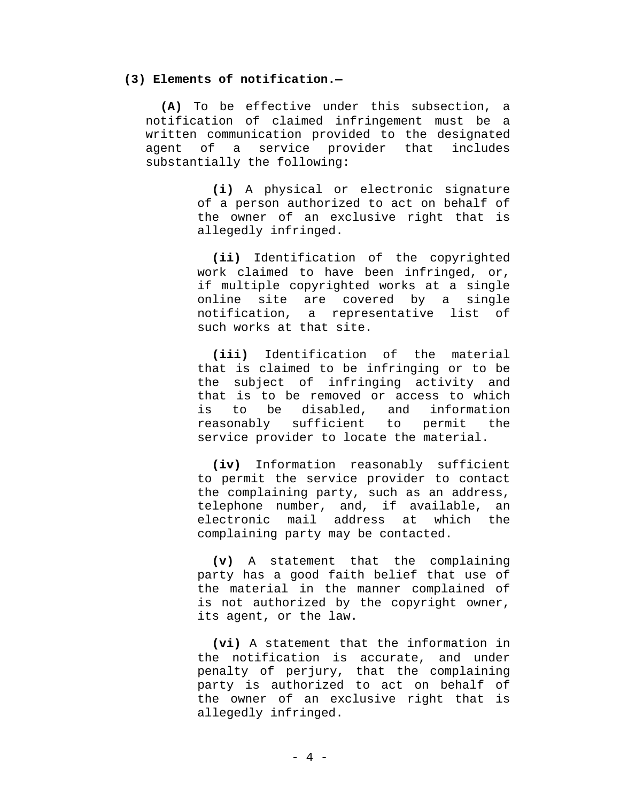## **(3) Elements of notification.—**

 **(A)** To be effective under this subsection, a notification of claimed infringement must be a written communication provided to the designated agent of a service provider that includes substantially the following:

> **(i)** A physical or electronic signature of a person authorized to act on behalf of the owner of an exclusive right that is allegedly infringed.

> **(ii)** Identification of the copyrighted work claimed to have been infringed, or, if multiple copyrighted works at a single online site are covered by a single notification, a representative list of such works at that site.

> **(iii)** Identification of the material that is claimed to be infringing or to be the subject of infringing activity and that is to be removed or access to which is to be disabled, and information reasonably sufficient to permit the service provider to locate the material.

> **(iv)** Information reasonably sufficient to permit the service provider to contact the complaining party, such as an address, telephone number, and, if available, an electronic mail address at which the complaining party may be contacted.

> **(v)** A statement that the complaining party has a good faith belief that use of the material in the manner complained of is not authorized by the copyright owner, its agent, or the law.

> **(vi)** A statement that the information in the notification is accurate, and under penalty of perjury, that the complaining party is authorized to act on behalf of the owner of an exclusive right that is allegedly infringed.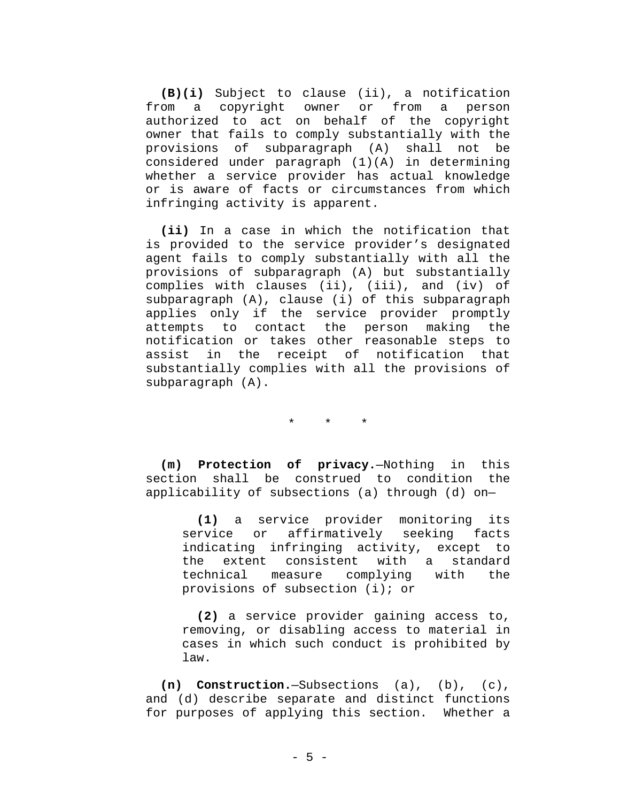**(B)(i)** Subject to clause (ii), a notification from a copyright owner or from a person authorized to act on behalf of the copyright owner that fails to comply substantially with the provisions of subparagraph (A) shall not be considered under paragraph (1)(A) in determining whether a service provider has actual knowledge or is aware of facts or circumstances from which infringing activity is apparent.

 **(ii)** In a case in which the notification that is provided to the service provider's designated agent fails to comply substantially with all the provisions of subparagraph (A) but substantially complies with clauses (ii), (iii), and (iv) of subparagraph (A), clause (i) of this subparagraph applies only if the service provider promptly attempts to contact the person making the notification or takes other reasonable steps to assist in the receipt of notification that substantially complies with all the provisions of subparagraph (A).

 $\star$   $\star$ 

 **(m) Protection of privacy.**—Nothing in this section shall be construed to condition the applicability of subsections (a) through (d) on—

 **(1)** a service provider monitoring its service or affirmatively seeking facts indicating infringing activity, except to the extent consistent with a standard technical measure complying with the provisions of subsection (i); or

 **(2)** a service provider gaining access to, removing, or disabling access to material in cases in which such conduct is prohibited by law.

 **(n) Construction.**—Subsections (a), (b), (c), and (d) describe separate and distinct functions for purposes of applying this section. Whether a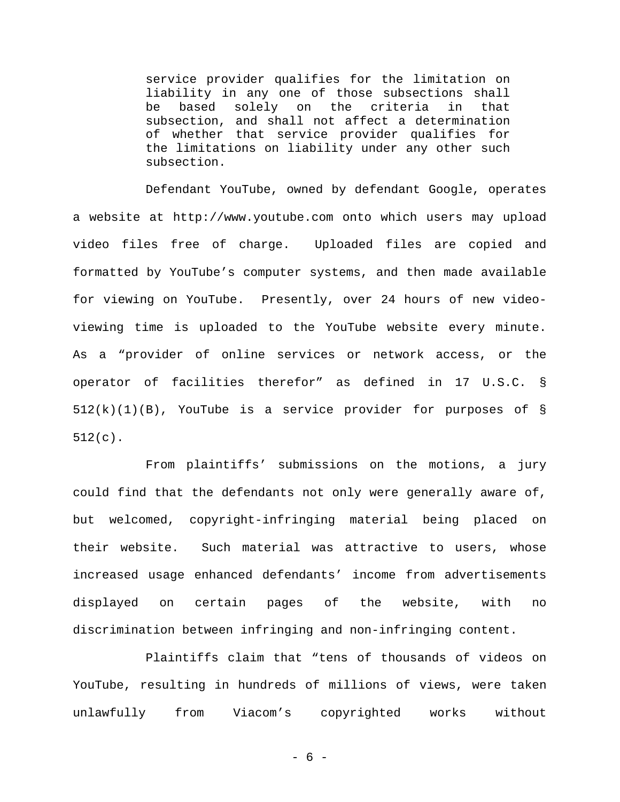service provider qualifies for the limitation on liability in any one of those subsections shall be based solely on the criteria in that subsection, and shall not affect a determination of whether that service provider qualifies for the limitations on liability under any other such subsection.

 Defendant YouTube, owned by defendant Google, operates a website at http://www.youtube.com onto which users may upload video files free of charge. Uploaded files are copied and formatted by YouTube's computer systems, and then made available for viewing on YouTube. Presently, over 24 hours of new videoviewing time is uploaded to the YouTube website every minute. As a "provider of online services or network access, or the operator of facilities therefor" as defined in 17 U.S.C. § 512(k)(1)(B), YouTube is a service provider for purposes of § 512(c).

 From plaintiffs' submissions on the motions, a jury could find that the defendants not only were generally aware of, but welcomed, copyright-infringing material being placed on their website. Such material was attractive to users, whose increased usage enhanced defendants' income from advertisements displayed on certain pages of the website, with no discrimination between infringing and non-infringing content.

 Plaintiffs claim that "tens of thousands of videos on YouTube, resulting in hundreds of millions of views, were taken unlawfully from Viacom's copyrighted works without

- 6 -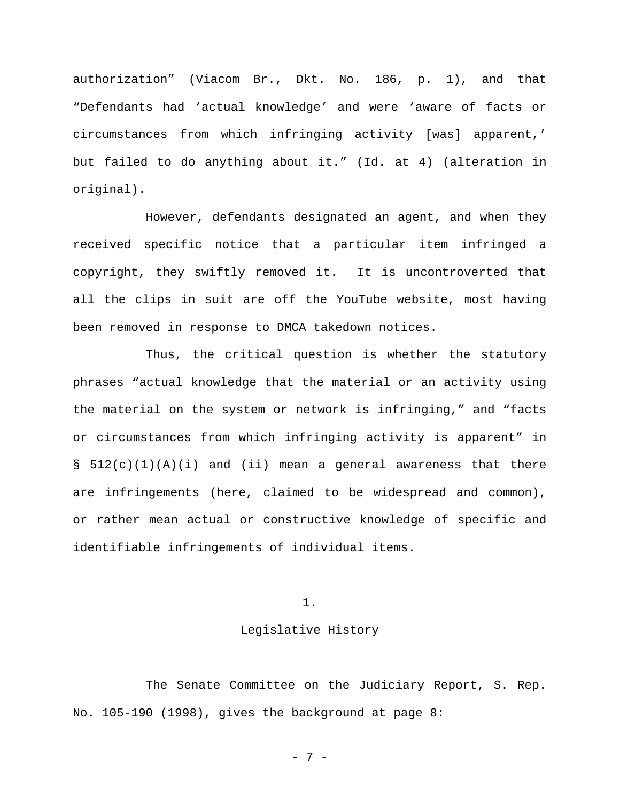authorization" (Viacom Br., Dkt. No. 186, p. 1), and that "Defendants had 'actual knowledge' and were 'aware of facts or circumstances from which infringing activity [was] apparent,' but failed to do anything about it." (Id. at 4) (alteration in original).

 However, defendants designated an agent, and when they received specific notice that a particular item infringed a copyright, they swiftly removed it. It is uncontroverted that all the clips in suit are off the YouTube website, most having been removed in response to DMCA takedown notices.

 Thus, the critical question is whether the statutory phrases "actual knowledge that the material or an activity using the material on the system or network is infringing," and "facts or circumstances from which infringing activity is apparent" in §  $512(c)(1)(A)(i)$  and (ii) mean a general awareness that there are infringements (here, claimed to be widespread and common), or rather mean actual or constructive knowledge of specific and identifiable infringements of individual items.

## 1.

### Legislative History

The Senate Committee on the Judiciary Report, S. Rep. No. 105-190 (1998), gives the background at page 8:

- 7 -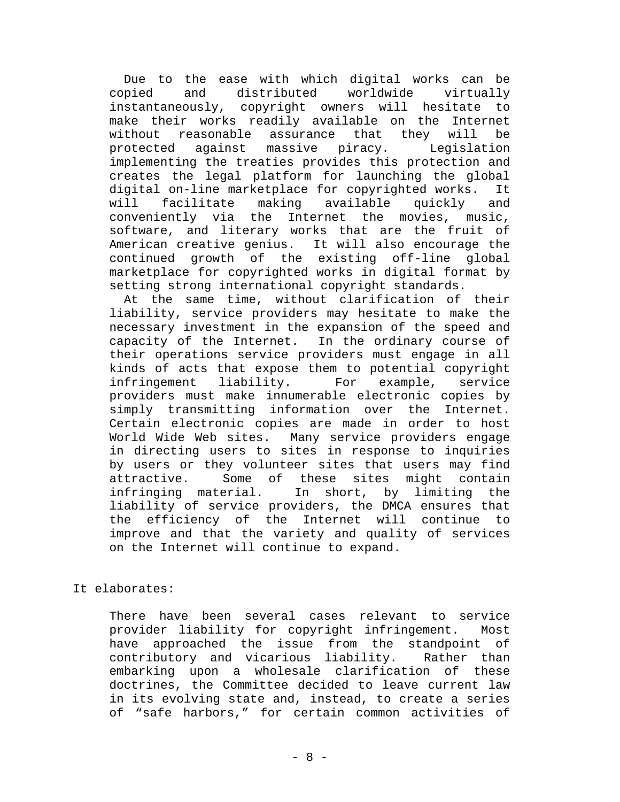Due to the ease with which digital works can be copied and distributed worldwide virtually instantaneously, copyright owners will hesitate to make their works readily available on the Internet without reasonable assurance that they will be protected against massive piracy. Legislation implementing the treaties provides this protection and creates the legal platform for launching the global digital on-line marketplace for copyrighted works. It will facilitate making available quickly and conveniently via the Internet the movies, music, software, and literary works that are the fruit of American creative genius. It will also encourage the continued growth of the existing off-line global marketplace for copyrighted works in digital format by setting strong international copyright standards.

 At the same time, without clarification of their liability, service providers may hesitate to make the necessary investment in the expansion of the speed and capacity of the Internet. In the ordinary course of their operations service providers must engage in all kinds of acts that expose them to potential copyright infringement liability. For example, service providers must make innumerable electronic copies by simply transmitting information over the Internet. Certain electronic copies are made in order to host World Wide Web sites. Many service providers engage in directing users to sites in response to inquiries by users or they volunteer sites that users may find attractive. Some of these sites might contain infringing material. In short, by limiting the liability of service providers, the DMCA ensures that the efficiency of the Internet will continue to improve and that the variety and quality of services on the Internet will continue to expand.

# It elaborates:

There have been several cases relevant to service provider liability for copyright infringement. Most have approached the issue from the standpoint of contributory and vicarious liability. Rather than embarking upon a wholesale clarification of these doctrines, the Committee decided to leave current law in its evolving state and, instead, to create a series of "safe harbors," for certain common activities of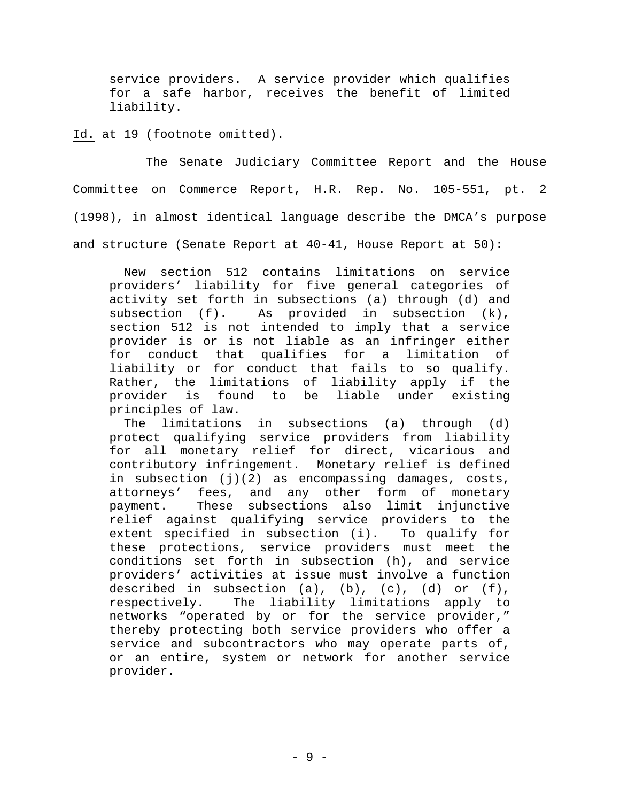service providers. A service provider which qualifies for a safe harbor, receives the benefit of limited liability.

Id. at 19 (footnote omitted).

 The Senate Judiciary Committee Report and the House Committee on Commerce Report, H.R. Rep. No. 105-551, pt. 2 (1998), in almost identical language describe the DMCA's purpose and structure (Senate Report at 40-41, House Report at 50):

 New section 512 contains limitations on service providers' liability for five general categories of activity set forth in subsections (a) through (d) and subsection (f). As provided in subsection (k), section 512 is not intended to imply that a service provider is or is not liable as an infringer either for conduct that qualifies for a limitation of liability or for conduct that fails to so qualify. Rather, the limitations of liability apply if the provider is found to be liable under existing principles of law.

 The limitations in subsections (a) through (d) protect qualifying service providers from liability for all monetary relief for direct, vicarious and contributory infringement. Monetary relief is defined in subsection (j)(2) as encompassing damages, costs, attorneys' fees, and any other form of monetary payment. These subsections also limit injunctive relief against qualifying service providers to the extent specified in subsection (i). To qualify for these protections, service providers must meet the conditions set forth in subsection (h), and service providers' activities at issue must involve a function described in subsection (a), (b), (c), (d) or  $(f)$ , respectively. The liability limitations apply to networks "operated by or for the service provider," thereby protecting both service providers who offer a service and subcontractors who may operate parts of, or an entire, system or network for another service provider.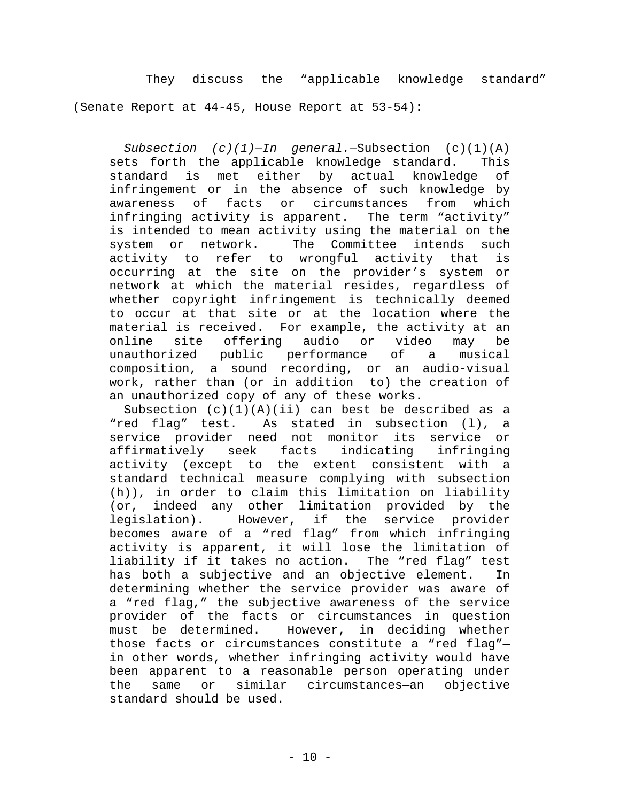They discuss the "applicable knowledge standard" (Senate Report at 44-45, House Report at 53-54):

 *Subsection (c)(1)—In general.—*Subsection (c)(1)(A) sets forth the applicable knowledge standard. This standard is met either by actual knowledge of infringement or in the absence of such knowledge by awareness of facts or circumstances from which infringing activity is apparent. The term "activity" is intended to mean activity using the material on the system or network. The Committee intends such activity to refer to wrongful activity that is occurring at the site on the provider's system or network at which the material resides, regardless of whether copyright infringement is technically deemed to occur at that site or at the location where the material is received. For example, the activity at an online site offering audio or video may be unauthorized public performance of a musical composition, a sound recording, or an audio-visual work, rather than (or in addition to) the creation of an unauthorized copy of any of these works.

Subsection  $(c)(1)(A)(ii)$  can best be described as a "red flag" test. As stated in subsection (l), a service provider need not monitor its service or affirmatively seek facts indicating infringing activity (except to the extent consistent with a standard technical measure complying with subsection (h)), in order to claim this limitation on liability (or, indeed any other limitation provided by the legislation). However, if the service provider becomes aware of a "red flag" from which infringing activity is apparent, it will lose the limitation of liability if it takes no action. The "red flag" test has both a subjective and an objective element. In determining whether the service provider was aware of a "red flag," the subjective awareness of the service provider of the facts or circumstances in question must be determined. However, in deciding whether those facts or circumstances constitute a "red flag" in other words, whether infringing activity would have been apparent to a reasonable person operating under the same or similar circumstances—an objective standard should be used.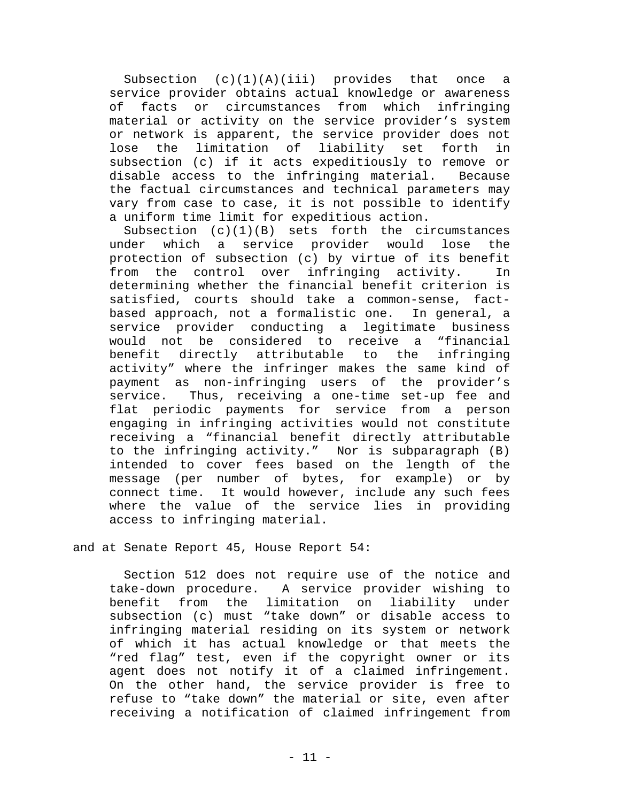Subsection (c)(1)(A)(iii) provides that once a service provider obtains actual knowledge or awareness of facts or circumstances from which infringing material or activity on the service provider's system or network is apparent, the service provider does not lose the limitation of liability set forth in subsection (c) if it acts expeditiously to remove or disable access to the infringing material. Because the factual circumstances and technical parameters may vary from case to case, it is not possible to identify a uniform time limit for expeditious action.

Subsection  $(c)(1)(B)$  sets forth the circumstances under which a service provider would lose the protection of subsection (c) by virtue of its benefit from the control over infringing activity. In determining whether the financial benefit criterion is satisfied, courts should take a common-sense, factbased approach, not a formalistic one. In general, a service provider conducting a legitimate business would not be considered to receive a "financial benefit directly attributable to the infringing activity" where the infringer makes the same kind of payment as non-infringing users of the provider's service. Thus, receiving a one-time set-up fee and flat periodic payments for service from a person engaging in infringing activities would not constitute receiving a "financial benefit directly attributable to the infringing activity." Nor is subparagraph (B) intended to cover fees based on the length of the message (per number of bytes, for example) or by connect time. It would however, include any such fees where the value of the service lies in providing access to infringing material.

## and at Senate Report 45, House Report 54:

 Section 512 does not require use of the notice and take-down procedure. A service provider wishing to benefit from the limitation on liability under subsection (c) must "take down" or disable access to infringing material residing on its system or network of which it has actual knowledge or that meets the "red flag" test, even if the copyright owner or its agent does not notify it of a claimed infringement. On the other hand, the service provider is free to refuse to "take down" the material or site, even after receiving a notification of claimed infringement from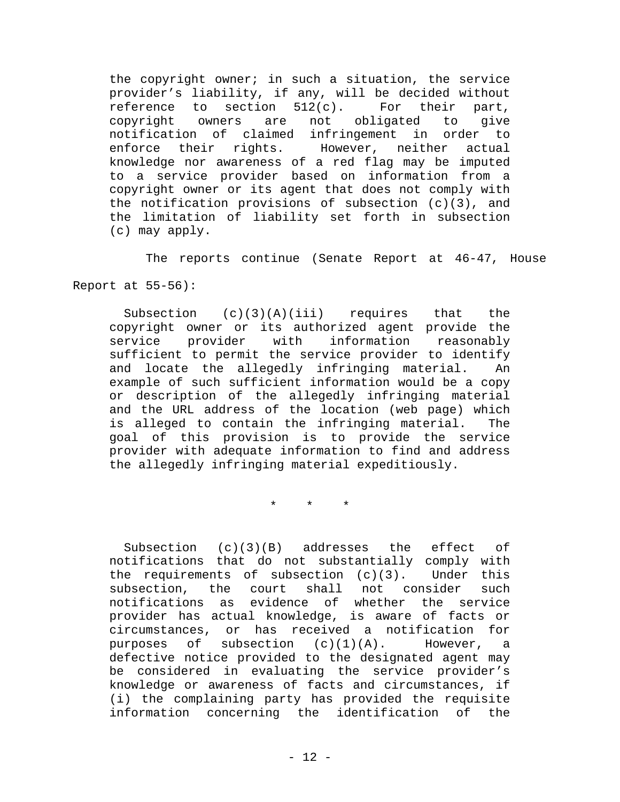the copyright owner; in such a situation, the service provider's liability, if any, will be decided without reference to section  $512(c)$ . For their part, copyright owners are not obligated to give notification of claimed infringement in order to enforce their rights. However, neither actual knowledge nor awareness of a red flag may be imputed to a service provider based on information from a copyright owner or its agent that does not comply with the notification provisions of subsection  $(c)(3)$ , and the limitation of liability set forth in subsection (c) may apply.

The reports continue (Senate Report at 46-47, House

Report at 55-56):

Subsection  $(c)(3)(A)(iii)$  requires that the copyright owner or its authorized agent provide the service provider with information reasonably sufficient to permit the service provider to identify and locate the allegedly infringing material. An example of such sufficient information would be a copy or description of the allegedly infringing material and the URL address of the location (web page) which is alleged to contain the infringing material. The goal of this provision is to provide the service provider with adequate information to find and address the allegedly infringing material expeditiously.

\* \* \*

 Subsection (c)(3)(B) addresses the effect of notifications that do not substantially comply with the requirements of subsection  $(c)(3)$ . Under this subsection, the court shall not consider such notifications as evidence of whether the service provider has actual knowledge, is aware of facts or circumstances, or has received a notification for purposes of subsection (c)(1)(A). However, a defective notice provided to the designated agent may be considered in evaluating the service provider's knowledge or awareness of facts and circumstances, if (i) the complaining party has provided the requisite information concerning the identification of the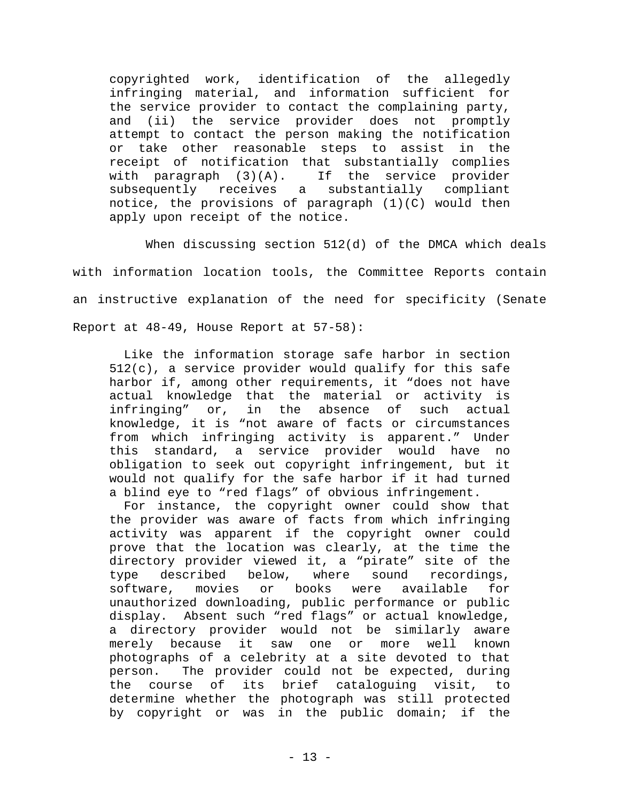copyrighted work, identification of the allegedly infringing material, and information sufficient for the service provider to contact the complaining party, and (ii) the service provider does not promptly attempt to contact the person making the notification or take other reasonable steps to assist in the receipt of notification that substantially complies with paragraph (3)(A). If the service provider subsequently receives a substantially compliant notice, the provisions of paragraph  $(1)(C)$  would then apply upon receipt of the notice.

 When discussing section 512(d) of the DMCA which deals with information location tools, the Committee Reports contain an instructive explanation of the need for specificity (Senate Report at 48-49, House Report at 57-58):

 Like the information storage safe harbor in section 512(c), a service provider would qualify for this safe harbor if, among other requirements, it "does not have actual knowledge that the material or activity is infringing" or, in the absence of such actual knowledge, it is "not aware of facts or circumstances from which infringing activity is apparent." Under this standard, a service provider would have no obligation to seek out copyright infringement, but it would not qualify for the safe harbor if it had turned a blind eye to "red flags" of obvious infringement.

 For instance, the copyright owner could show that the provider was aware of facts from which infringing activity was apparent if the copyright owner could prove that the location was clearly, at the time the directory provider viewed it, a "pirate" site of the type described below, where sound recordings, software, movies or books were available for unauthorized downloading, public performance or public display. Absent such "red flags" or actual knowledge, a directory provider would not be similarly aware merely because it saw one or more well known photographs of a celebrity at a site devoted to that person. The provider could not be expected, during the course of its brief cataloguing visit, to determine whether the photograph was still protected by copyright or was in the public domain; if the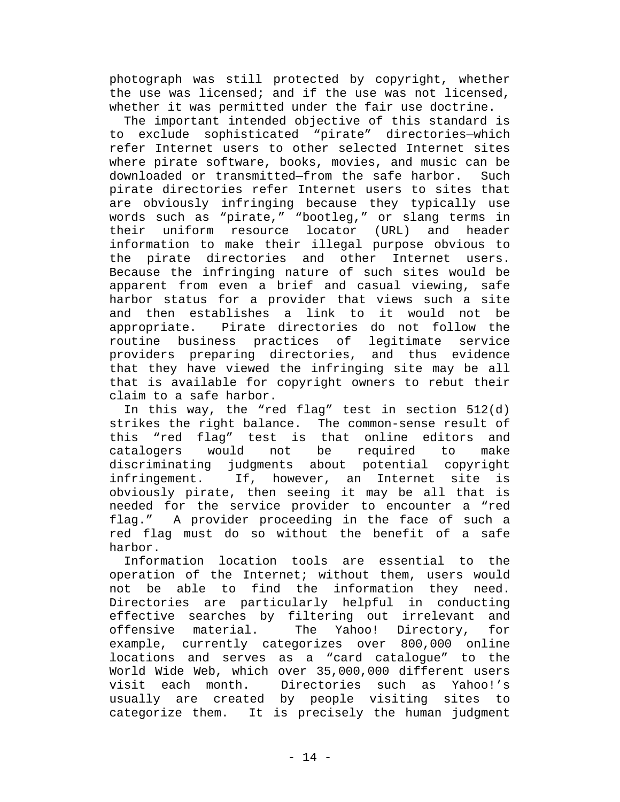photograph was still protected by copyright, whether the use was licensed; and if the use was not licensed, whether it was permitted under the fair use doctrine.

 The important intended objective of this standard is to exclude sophisticated "pirate" directories—which refer Internet users to other selected Internet sites where pirate software, books, movies, and music can be downloaded or transmitted—from the safe harbor. Such pirate directories refer Internet users to sites that are obviously infringing because they typically use words such as "pirate," "bootleg," or slang terms in their uniform resource locator (URL) and header information to make their illegal purpose obvious to the pirate directories and other Internet users. Because the infringing nature of such sites would be apparent from even a brief and casual viewing, safe harbor status for a provider that views such a site and then establishes a link to it would not be appropriate. Pirate directories do not follow the routine business practices of legitimate service providers preparing directories, and thus evidence that they have viewed the infringing site may be all that is available for copyright owners to rebut their claim to a safe harbor.

 In this way, the "red flag" test in section 512(d) strikes the right balance. The common-sense result of this "red flag" test is that online editors and catalogers would not be required to make discriminating judgments about potential copyright infringement. If, however, an Internet site is obviously pirate, then seeing it may be all that is needed for the service provider to encounter a "red flag." A provider proceeding in the face of such a red flag must do so without the benefit of a safe harbor.

 Information location tools are essential to the operation of the Internet; without them, users would not be able to find the information they need. Directories are particularly helpful in conducting effective searches by filtering out irrelevant and offensive material. The Yahoo! Directory, for example, currently categorizes over 800,000 online locations and serves as a "card catalogue" to the World Wide Web, which over 35,000,000 different users visit each month. Directories such as Yahoo!'s usually are created by people visiting sites to categorize them. It is precisely the human judgment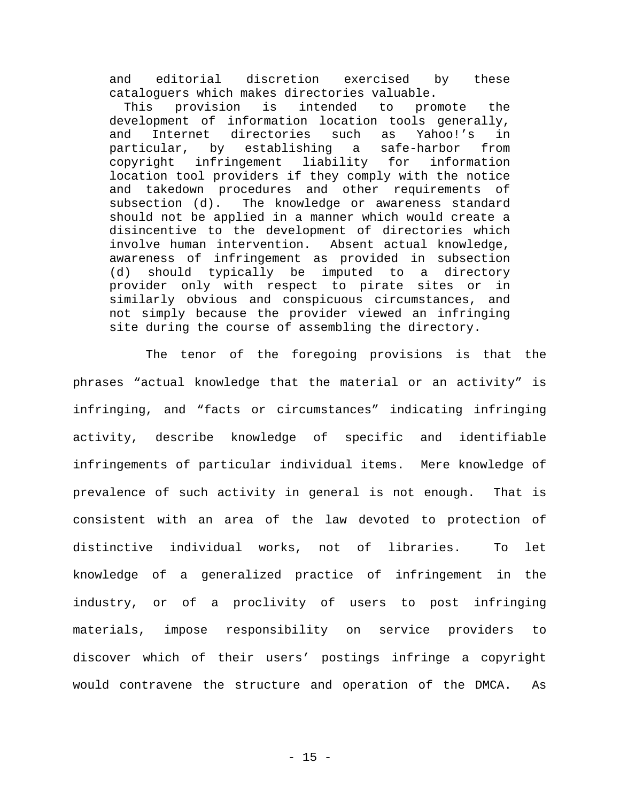and editorial discretion exercised by these cataloguers which makes directories valuable.

 This provision is intended to promote the development of information location tools generally, and Internet directories such as Yahoo!'s in particular, by establishing a safe-harbor from copyright infringement liability for information location tool providers if they comply with the notice and takedown procedures and other requirements of subsection (d). The knowledge or awareness standard should not be applied in a manner which would create a disincentive to the development of directories which involve human intervention. Absent actual knowledge, awareness of infringement as provided in subsection (d) should typically be imputed to a directory provider only with respect to pirate sites or in similarly obvious and conspicuous circumstances, and not simply because the provider viewed an infringing site during the course of assembling the directory.

 The tenor of the foregoing provisions is that the phrases "actual knowledge that the material or an activity" is infringing, and "facts or circumstances" indicating infringing activity, describe knowledge of specific and identifiable infringements of particular individual items. Mere knowledge of prevalence of such activity in general is not enough. That is consistent with an area of the law devoted to protection of distinctive individual works, not of libraries. To let knowledge of a generalized practice of infringement in the industry, or of a proclivity of users to post infringing materials, impose responsibility on service providers to discover which of their users' postings infringe a copyright would contravene the structure and operation of the DMCA. As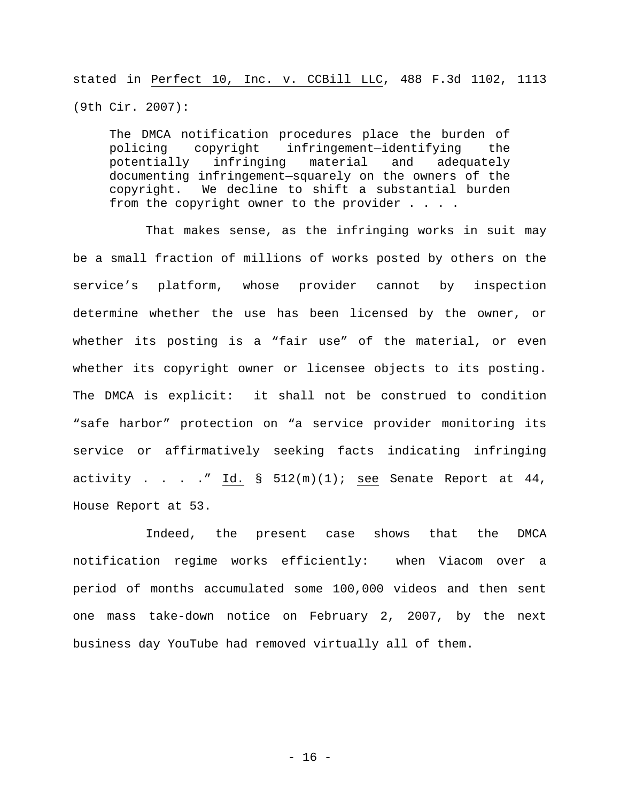stated in Perfect 10, Inc. v. CCBill LLC, 488 F.3d 1102, 1113 (9th Cir. 2007):

The DMCA notification procedures place the burden of policing copyright infringement—identifying the potentially infringing material and adequately documenting infringement—squarely on the owners of the copyright. We decline to shift a substantial burden from the copyright owner to the provider . . . .

 That makes sense, as the infringing works in suit may be a small fraction of millions of works posted by others on the service's platform, whose provider cannot by inspection determine whether the use has been licensed by the owner, or whether its posting is a "fair use" of the material, or even whether its copyright owner or licensee objects to its posting. The DMCA is explicit: it shall not be construed to condition "safe harbor" protection on "a service provider monitoring its service or affirmatively seeking facts indicating infringing activity . . . ." Id.  $\S$  512(m)(1); see Senate Report at 44, House Report at 53.

 Indeed, the present case shows that the DMCA notification regime works efficiently: when Viacom over a period of months accumulated some 100,000 videos and then sent one mass take-down notice on February 2, 2007, by the next business day YouTube had removed virtually all of them.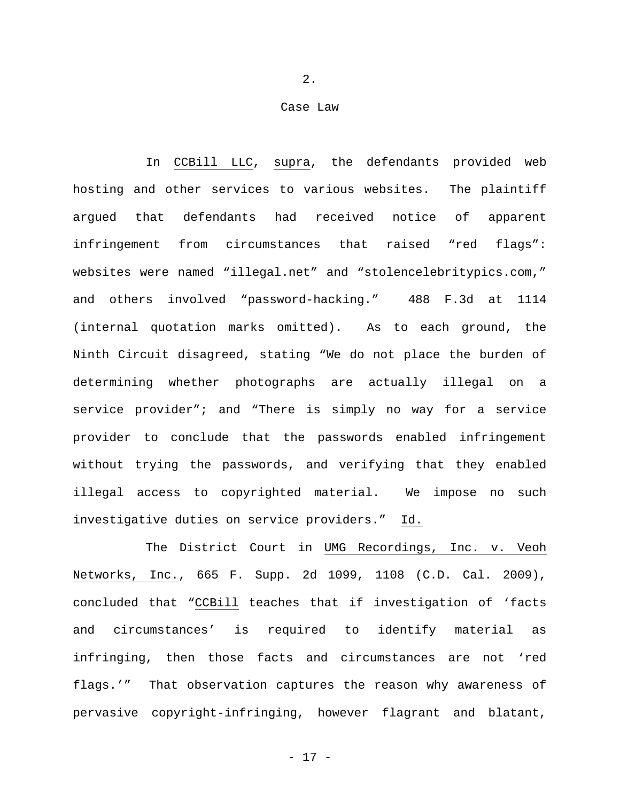2.

#### Case Law

 In CCBill LLC, supra, the defendants provided web hosting and other services to various websites. The plaintiff argued that defendants had received notice of apparent infringement from circumstances that raised "red flags": websites were named "illegal.net" and "stolencelebritypics.com," and others involved "password-hacking." 488 F.3d at 1114 (internal quotation marks omitted). As to each ground, the Ninth Circuit disagreed, stating "We do not place the burden of determining whether photographs are actually illegal on a service provider"; and "There is simply no way for a service provider to conclude that the passwords enabled infringement without trying the passwords, and verifying that they enabled illegal access to copyrighted material. We impose no such investigative duties on service providers." Id.

 The District Court in UMG Recordings, Inc. v. Veoh Networks, Inc., 665 F. Supp. 2d 1099, 1108 (C.D. Cal. 2009), concluded that "CCBill teaches that if investigation of 'facts and circumstances' is required to identify material as infringing, then those facts and circumstances are not 'red flags.'" That observation captures the reason why awareness of pervasive copyright-infringing, however flagrant and blatant,

- 17 -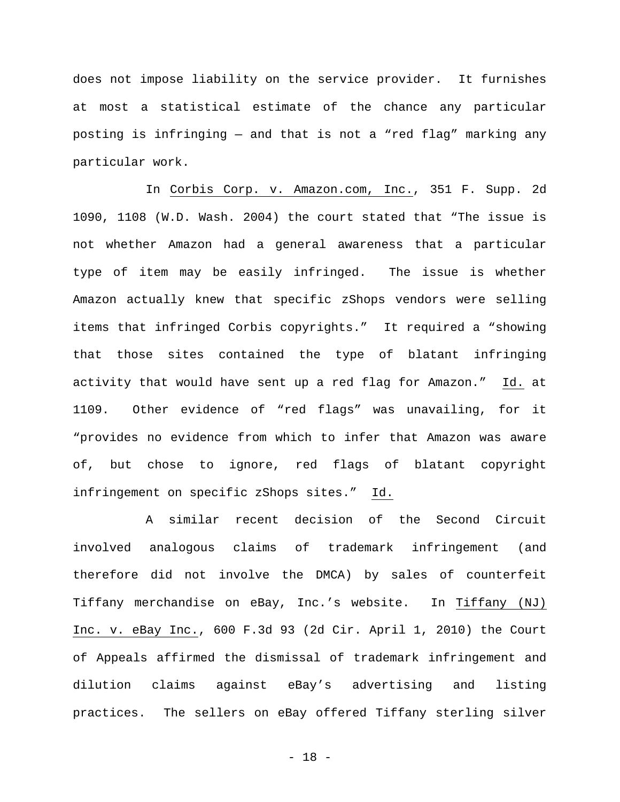does not impose liability on the service provider. It furnishes at most a statistical estimate of the chance any particular posting is infringing — and that is not a "red flag" marking any particular work.

 In Corbis Corp. v. Amazon.com, Inc., 351 F. Supp. 2d 1090, 1108 (W.D. Wash. 2004) the court stated that "The issue is not whether Amazon had a general awareness that a particular type of item may be easily infringed. The issue is whether Amazon actually knew that specific zShops vendors were selling items that infringed Corbis copyrights." It required a "showing that those sites contained the type of blatant infringing activity that would have sent up a red flag for Amazon." Id. at 1109. Other evidence of "red flags" was unavailing, for it "provides no evidence from which to infer that Amazon was aware of, but chose to ignore, red flags of blatant copyright infringement on specific zShops sites." Id.

 A similar recent decision of the Second Circuit involved analogous claims of trademark infringement (and therefore did not involve the DMCA) by sales of counterfeit Tiffany merchandise on eBay, Inc.'s website. In Tiffany (NJ) Inc. v. eBay Inc., 600 F.3d 93 (2d Cir. April 1, 2010) the Court of Appeals affirmed the dismissal of trademark infringement and dilution claims against eBay's advertising and listing practices. The sellers on eBay offered Tiffany sterling silver

- 18 -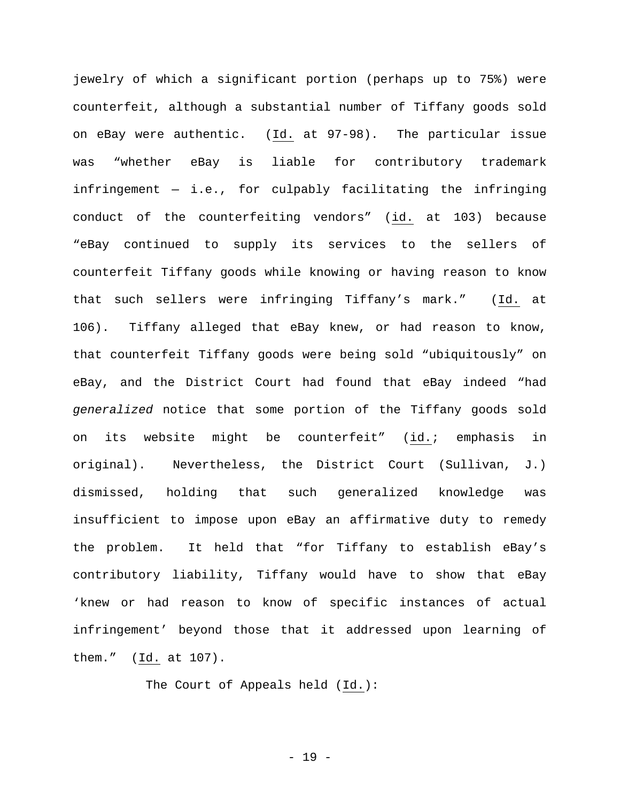jewelry of which a significant portion (perhaps up to 75%) were counterfeit, although a substantial number of Tiffany goods sold on eBay were authentic. (Id. at 97-98). The particular issue was "whether eBay is liable for contributory trademark infringement — i.e., for culpably facilitating the infringing conduct of the counterfeiting vendors" (id. at 103) because "eBay continued to supply its services to the sellers of counterfeit Tiffany goods while knowing or having reason to know that such sellers were infringing Tiffany's mark." (Id. at 106). Tiffany alleged that eBay knew, or had reason to know, that counterfeit Tiffany goods were being sold "ubiquitously" on eBay, and the District Court had found that eBay indeed "had *generalized* notice that some portion of the Tiffany goods sold on its website might be counterfeit" (id.; emphasis in original). Nevertheless, the District Court (Sullivan, J.) dismissed, holding that such generalized knowledge was insufficient to impose upon eBay an affirmative duty to remedy the problem. It held that "for Tiffany to establish eBay's contributory liability, Tiffany would have to show that eBay 'knew or had reason to know of specific instances of actual infringement' beyond those that it addressed upon learning of them." (Id. at 107).

The Court of Appeals held (Id.):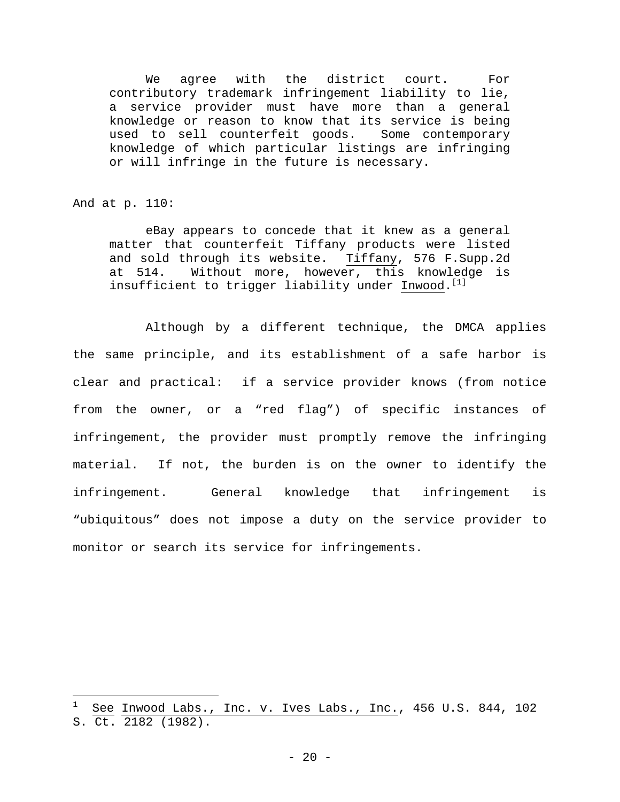We agree with the district court. For contributory trademark infringement liability to lie, a service provider must have more than a general knowledge or reason to know that its service is being used to sell counterfeit goods. Some contemporary knowledge of which particular listings are infringing or will infringe in the future is necessary.

And at p. 110:

1

 eBay appears to concede that it knew as a general matter that counterfeit Tiffany products were listed and sold through its website. Tiffany, 576 F.Supp.2d at 514. Without more, however, this knowledge is insufficient to trigger liability under Inwood.<sup>[1]</sup>

 Although by a different technique, the DMCA applies the same principle, and its establishment of a safe harbor is clear and practical: if a service provider knows (from notice from the owner, or a "red flag") of specific instances of infringement, the provider must promptly remove the infringing material. If not, the burden is on the owner to identify the infringement. General knowledge that infringement is "ubiquitous" does not impose a duty on the service provider to monitor or search its service for infringements.

 $^1$  See Inwood Labs., Inc. v. Ives Labs., Inc., 456 U.S. 844, 102 S. Ct. 2182 (1982).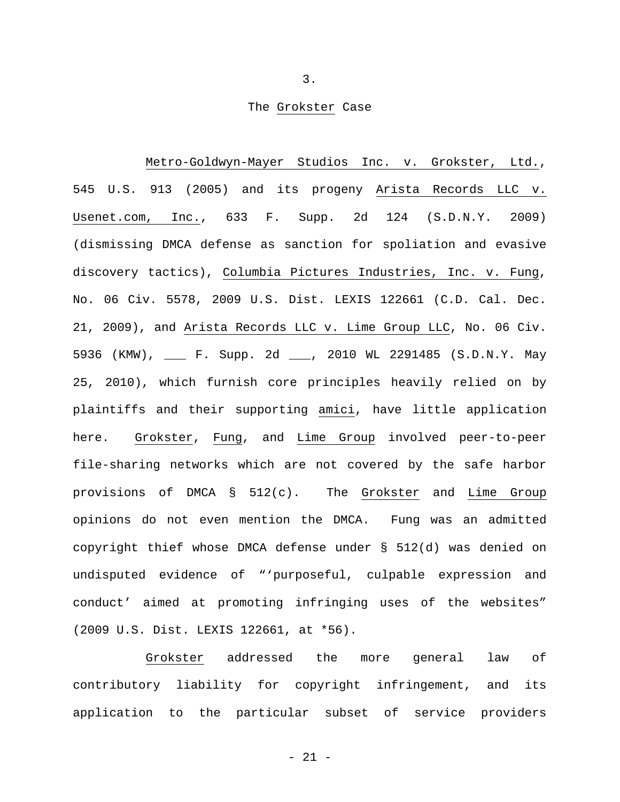#### The Grokster Case

Metro-Goldwyn-Mayer Studios Inc. v. Grokster, Ltd., 545 U.S. 913 (2005) and its progeny Arista Records LLC v. Usenet.com, Inc., 633 F. Supp. 2d 124 (S.D.N.Y. 2009) (dismissing DMCA defense as sanction for spoliation and evasive discovery tactics), Columbia Pictures Industries, Inc. v. Fung, No. 06 Civ. 5578, 2009 U.S. Dist. LEXIS 122661 (C.D. Cal. Dec. 21, 2009), and Arista Records LLC v. Lime Group LLC, No. 06 Civ. 5936 (KMW), \_\_\_ F. Supp. 2d \_\_\_, 2010 WL 2291485 (S.D.N.Y. May 25, 2010), which furnish core principles heavily relied on by plaintiffs and their supporting amici, have little application here. Grokster, Fung, and Lime Group involved peer-to-peer file-sharing networks which are not covered by the safe harbor provisions of DMCA § 512(c). The Grokster and Lime Group opinions do not even mention the DMCA. Fung was an admitted copyright thief whose DMCA defense under § 512(d) was denied on undisputed evidence of "'purposeful, culpable expression and conduct' aimed at promoting infringing uses of the websites" (2009 U.S. Dist. LEXIS 122661, at \*56).

 Grokster addressed the more general law of contributory liability for copyright infringement, and its application to the particular subset of service providers

3.

- 21 -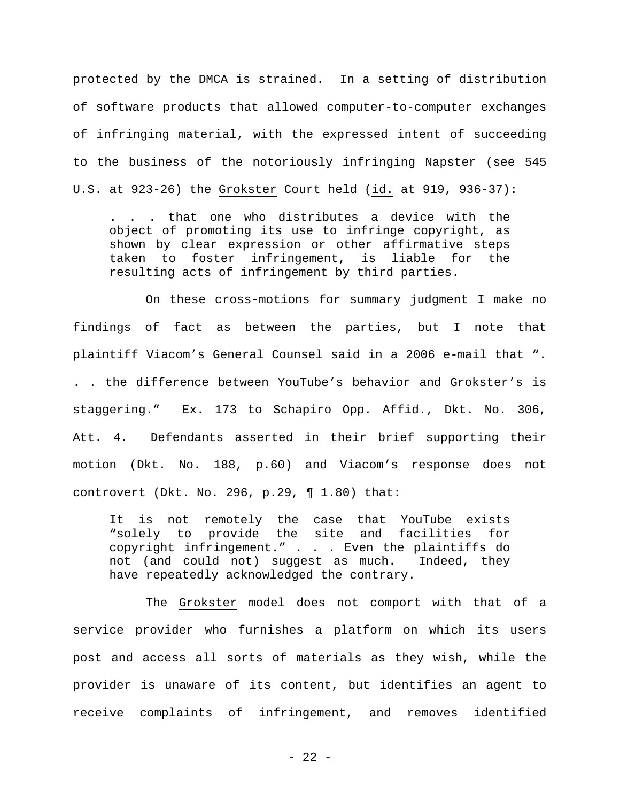protected by the DMCA is strained. In a setting of distribution of software products that allowed computer-to-computer exchanges of infringing material, with the expressed intent of succeeding to the business of the notoriously infringing Napster (see 545 U.S. at 923-26) the Grokster Court held (id. at 919, 936-37):

. . . that one who distributes a device with the object of promoting its use to infringe copyright, as shown by clear expression or other affirmative steps taken to foster infringement, is liable for the resulting acts of infringement by third parties.

 On these cross-motions for summary judgment I make no findings of fact as between the parties, but I note that plaintiff Viacom's General Counsel said in a 2006 e-mail that ". . . the difference between YouTube's behavior and Grokster's is staggering." Ex. 173 to Schapiro Opp. Affid., Dkt. No. 306, Att. 4. Defendants asserted in their brief supporting their motion (Dkt. No. 188, p.60) and Viacom's response does not controvert (Dkt. No. 296, p.29, ¶ 1.80) that:

It is not remotely the case that YouTube exists "solely to provide the site and facilities for copyright infringement." . . . Even the plaintiffs do not (and could not) suggest as much. Indeed, they have repeatedly acknowledged the contrary.

 The Grokster model does not comport with that of a service provider who furnishes a platform on which its users post and access all sorts of materials as they wish, while the provider is unaware of its content, but identifies an agent to receive complaints of infringement, and removes identified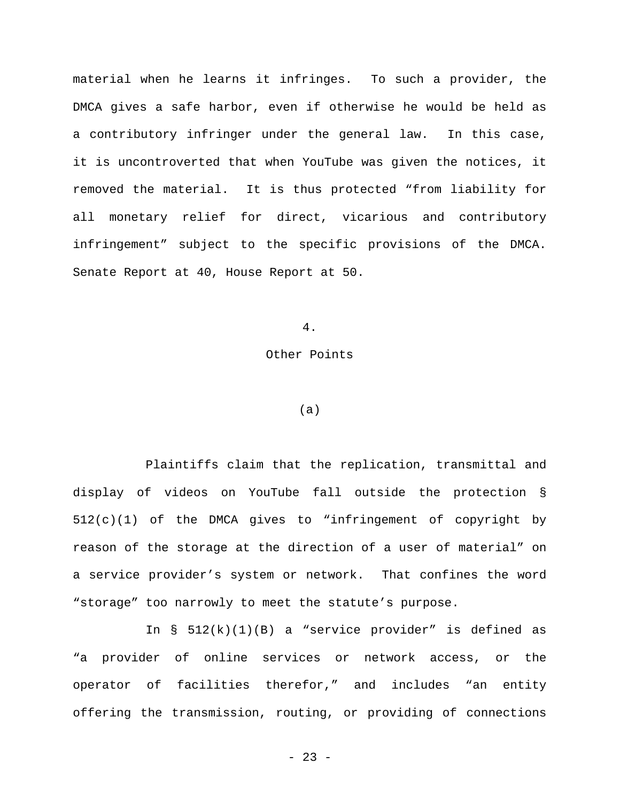material when he learns it infringes. To such a provider, the DMCA gives a safe harbor, even if otherwise he would be held as a contributory infringer under the general law. In this case, it is uncontroverted that when YouTube was given the notices, it removed the material. It is thus protected "from liability for all monetary relief for direct, vicarious and contributory infringement" subject to the specific provisions of the DMCA. Senate Report at 40, House Report at 50.

4.

### Other Points

#### (a)

 Plaintiffs claim that the replication, transmittal and display of videos on YouTube fall outside the protection § 512(c)(1) of the DMCA gives to "infringement of copyright by reason of the storage at the direction of a user of material" on a service provider's system or network. That confines the word "storage" too narrowly to meet the statute's purpose.

In  $\S$  512(k)(1)(B) a "service provider" is defined as "a provider of online services or network access, or the operator of facilities therefor," and includes "an entity offering the transmission, routing, or providing of connections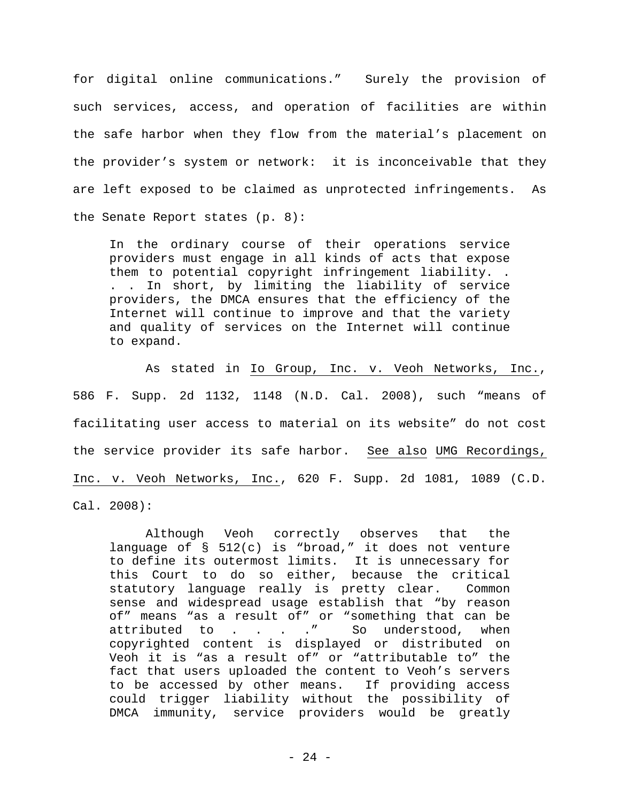for digital online communications." Surely the provision of such services, access, and operation of facilities are within the safe harbor when they flow from the material's placement on the provider's system or network: it is inconceivable that they are left exposed to be claimed as unprotected infringements. As the Senate Report states (p. 8):

In the ordinary course of their operations service providers must engage in all kinds of acts that expose them to potential copyright infringement liability. . . . In short, by limiting the liability of service providers, the DMCA ensures that the efficiency of the Internet will continue to improve and that the variety and quality of services on the Internet will continue to expand.

 As stated in Io Group, Inc. v. Veoh Networks, Inc., 586 F. Supp. 2d 1132, 1148 (N.D. Cal. 2008), such "means of facilitating user access to material on its website" do not cost the service provider its safe harbor. See also UMG Recordings, Inc. v. Veoh Networks, Inc., 620 F. Supp. 2d 1081, 1089 (C.D. Cal. 2008):

 Although Veoh correctly observes that the language of  $\S$  512(c) is "broad," it does not venture to define its outermost limits. It is unnecessary for this Court to do so either, because the critical statutory language really is pretty clear. Common sense and widespread usage establish that "by reason of" means "as a result of" or "something that can be attributed to . . . ." So understood, when copyrighted content is displayed or distributed on Veoh it is "as a result of" or "attributable to" the fact that users uploaded the content to Veoh's servers to be accessed by other means. If providing access could trigger liability without the possibility of DMCA immunity, service providers would be greatly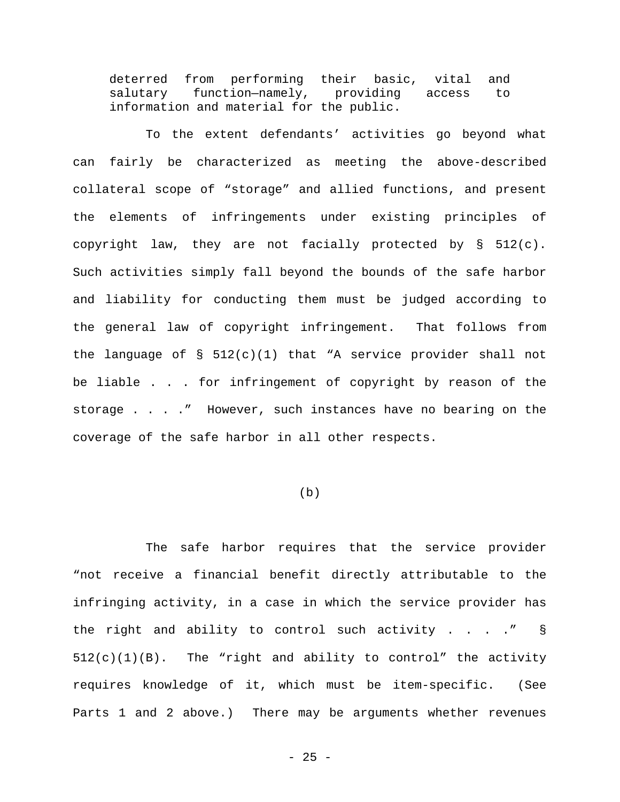deterred from performing their basic, vital and salutary function—namely, providing access to information and material for the public.

 To the extent defendants' activities go beyond what can fairly be characterized as meeting the above-described collateral scope of "storage" and allied functions, and present the elements of infringements under existing principles of copyright law, they are not facially protected by § 512(c). Such activities simply fall beyond the bounds of the safe harbor and liability for conducting them must be judged according to the general law of copyright infringement. That follows from the language of  $\S$  512(c)(1) that "A service provider shall not be liable . . . for infringement of copyright by reason of the storage . . . ." However, such instances have no bearing on the coverage of the safe harbor in all other respects.

### $(b)$

The safe harbor requires that the service provider "not receive a financial benefit directly attributable to the infringing activity, in a case in which the service provider has the right and ability to control such activity . . . . " §  $512(c)(1)(B)$ . The "right and ability to control" the activity requires knowledge of it, which must be item-specific. (See Parts 1 and 2 above.) There may be arguments whether revenues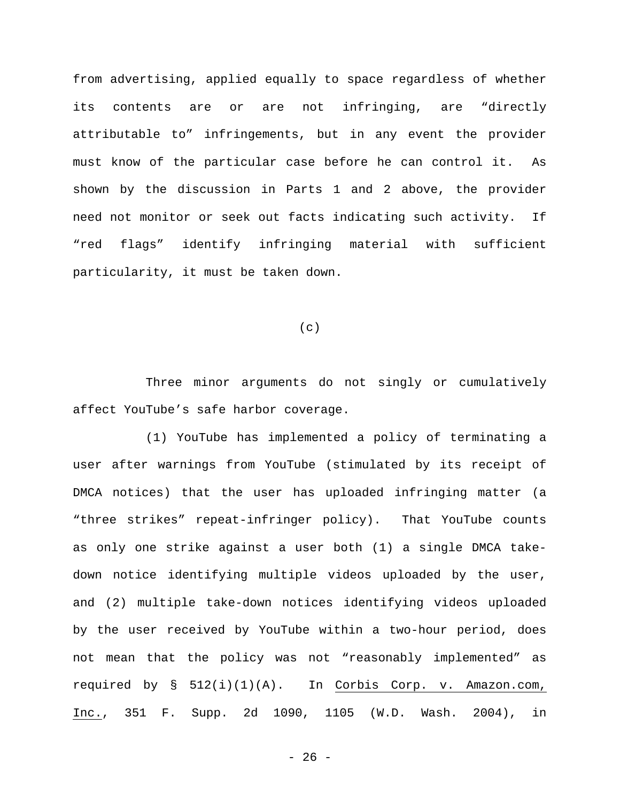from advertising, applied equally to space regardless of whether its contents are or are not infringing, are "directly attributable to" infringements, but in any event the provider must know of the particular case before he can control it. As shown by the discussion in Parts 1 and 2 above, the provider need not monitor or seek out facts indicating such activity. If "red flags" identify infringing material with sufficient particularity, it must be taken down.

 $(c)$ 

 Three minor arguments do not singly or cumulatively affect YouTube's safe harbor coverage.

 (1) YouTube has implemented a policy of terminating a user after warnings from YouTube (stimulated by its receipt of DMCA notices) that the user has uploaded infringing matter (a "three strikes" repeat-infringer policy). That YouTube counts as only one strike against a user both (1) a single DMCA takedown notice identifying multiple videos uploaded by the user, and (2) multiple take-down notices identifying videos uploaded by the user received by YouTube within a two-hour period, does not mean that the policy was not "reasonably implemented" as required by § 512(i)(1)(A). In Corbis Corp. v. Amazon.com, Inc., 351 F. Supp. 2d 1090, 1105 (W.D. Wash. 2004), in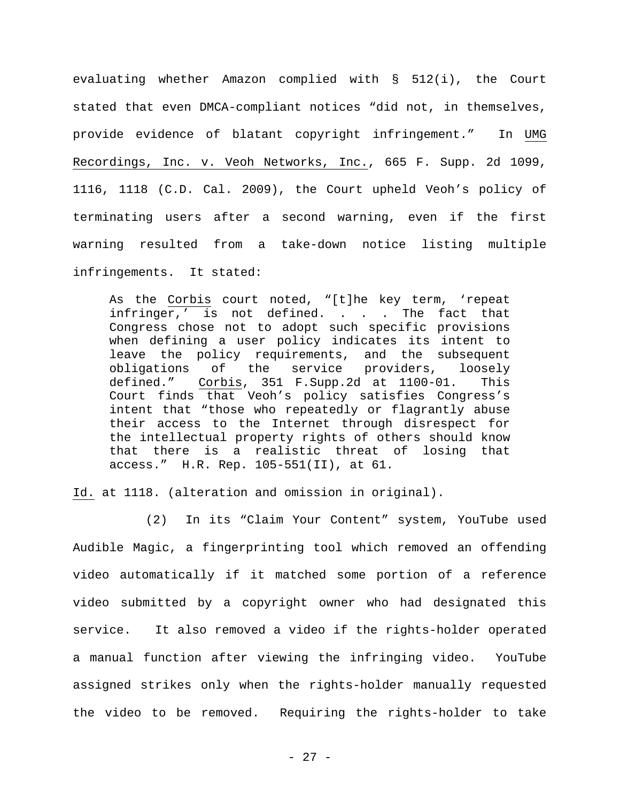evaluating whether Amazon complied with § 512(i), the Court stated that even DMCA-compliant notices "did not, in themselves, provide evidence of blatant copyright infringement." In UMG Recordings, Inc. v. Veoh Networks, Inc., 665 F. Supp. 2d 1099, 1116, 1118 (C.D. Cal. 2009), the Court upheld Veoh's policy of terminating users after a second warning, even if the first warning resulted from a take-down notice listing multiple infringements. It stated:

As the Corbis court noted, "[t]he key term, 'repeat infringer,' is not defined. . . . The fact that Congress chose not to adopt such specific provisions when defining a user policy indicates its intent to leave the policy requirements, and the subsequent obligations of the service providers, loosely defined." Corbis, 351 F.Supp.2d at 1100-01. This Court finds that Veoh's policy satisfies Congress's intent that "those who repeatedly or flagrantly abuse their access to the Internet through disrespect for the intellectual property rights of others should know that there is a realistic threat of losing that access." H.R. Rep. 105-551(II), at 61.

Id. at 1118. (alteration and omission in original).

 (2) In its "Claim Your Content" system, YouTube used Audible Magic, a fingerprinting tool which removed an offending video automatically if it matched some portion of a reference video submitted by a copyright owner who had designated this service. It also removed a video if the rights-holder operated a manual function after viewing the infringing video. YouTube assigned strikes only when the rights-holder manually requested the video to be removed. Requiring the rights-holder to take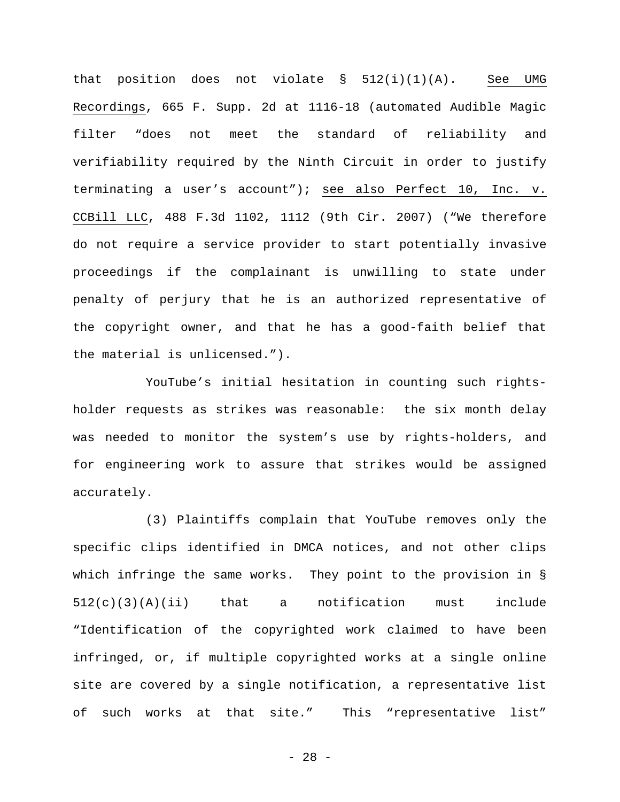that position does not violate § 512(i)(1)(A). See UMG Recordings, 665 F. Supp. 2d at 1116-18 (automated Audible Magic filter "does not meet the standard of reliability and verifiability required by the Ninth Circuit in order to justify terminating a user's account"); see also Perfect 10, Inc. v. CCBill LLC, 488 F.3d 1102, 1112 (9th Cir. 2007) ("We therefore do not require a service provider to start potentially invasive proceedings if the complainant is unwilling to state under penalty of perjury that he is an authorized representative of the copyright owner, and that he has a good-faith belief that the material is unlicensed.").

 YouTube's initial hesitation in counting such rightsholder requests as strikes was reasonable: the six month delay was needed to monitor the system's use by rights-holders, and for engineering work to assure that strikes would be assigned accurately.

 (3) Plaintiffs complain that YouTube removes only the specific clips identified in DMCA notices, and not other clips which infringe the same works. They point to the provision in § 512(c)(3)(A)(ii) that a notification must include "Identification of the copyrighted work claimed to have been infringed, or, if multiple copyrighted works at a single online site are covered by a single notification, a representative list of such works at that site." This "representative list"

- 28 -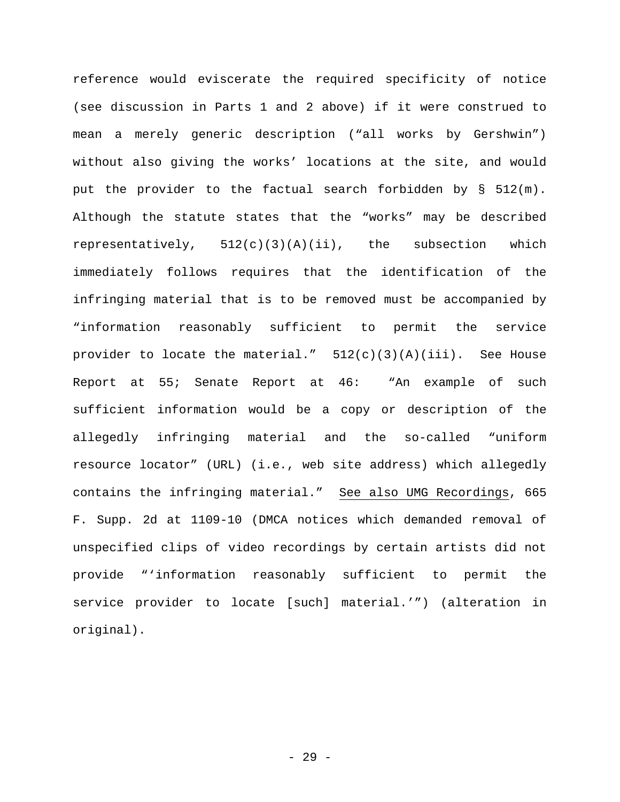reference would eviscerate the required specificity of notice (see discussion in Parts 1 and 2 above) if it were construed to mean a merely generic description ("all works by Gershwin") without also giving the works' locations at the site, and would put the provider to the factual search forbidden by § 512(m). Although the statute states that the "works" may be described representatively,  $512(c)(3)(A)(ii)$ , the subsection which immediately follows requires that the identification of the infringing material that is to be removed must be accompanied by "information reasonably sufficient to permit the service provider to locate the material."  $512(c)(3)(A)(iii)$ . See House Report at 55; Senate Report at 46: "An example of such sufficient information would be a copy or description of the allegedly infringing material and the so-called "uniform resource locator" (URL) (i.e., web site address) which allegedly contains the infringing material." See also UMG Recordings, 665 F. Supp. 2d at 1109-10 (DMCA notices which demanded removal of unspecified clips of video recordings by certain artists did not provide "'information reasonably sufficient to permit the service provider to locate [such] material.'") (alteration in original).